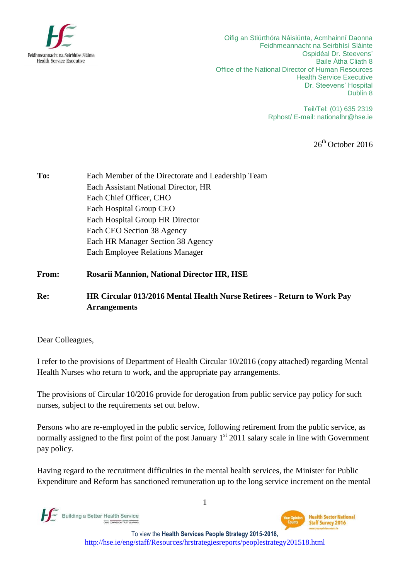

Oifig an Stiúrthóra Náisiúnta, Acmhainní Daonna Feidhmeannacht na Seirbhísí Sláinte Ospidéal Dr. Steevens' Baile Átha Cliath 8 Office of the National Director of Human Resources Health Service Executive Dr. Steevens' Hospital Dublin 8

> Teil/Tel: (01) 635 2319 Rphost/ E-mail: [nationalhr@hse.ie](mailto:nationalhr@hse.ie)

> > 26<sup>th</sup> October 2016

- **To:** Each Member of the Directorate and Leadership Team Each Assistant National Director, HR Each Chief Officer, CHO Each Hospital Group CEO Each Hospital Group HR Director Each CEO Section 38 Agency Each HR Manager Section 38 Agency Each Employee Relations Manager
- **From: Rosarii Mannion, National Director HR, HSE**

## **Re: HR Circular 013/2016 Mental Health Nurse Retirees - Return to Work Pay Arrangements**

Dear Colleagues,

I refer to the provisions of Department of Health Circular 10/2016 (copy attached) regarding Mental Health Nurses who return to work, and the appropriate pay arrangements.

The provisions of Circular 10/2016 provide for derogation from public service pay policy for such nurses, subject to the requirements set out below.

Persons who are re-employed in the public service, following retirement from the public service, as normally assigned to the first point of the post January  $1<sup>st</sup> 2011$  salary scale in line with Government pay policy.

Having regard to the recruitment difficulties in the mental health services, the Minister for Public Expenditure and Reform has sanctioned remuneration up to the long service increment on the mental

Building a Better Health Service CARE COMMANDER TO BE TRANSMIT

**Health Sector National Staff Survey 2016** 

To view the **Health Services People Strategy 2015-2018,** http://hse.ie/eng/staff/Resources/hrstrategiesreports/peoplestrategy201518.html